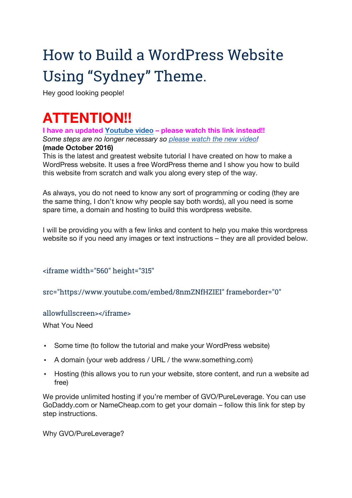# How to Build a WordPress Website Using "Sydney" Theme.

Hey good looking people!

# **ATTENTION!!**

**I have an updated Youtube video – please watch this link instead!!** *Some steps are no longer necessary so please watch the new video!*

#### **(made October 2016)**

This is the latest and greatest website tutorial I have created on how to make a WordPress website. It uses a free WordPress theme and I show you how to build this website from scratch and walk you along every step of the way.

As always, you do not need to know any sort of programming or coding (they are the same thing, I don't know why people say both words), all you need is some spare time, a domain and hosting to build this wordpress website.

I will be providing you with a few links and content to help you make this wordpress website so if you need any images or text instructions – they are all provided below.

#### <iframe width="560" height="315"

src="https://www.youtube.com/embed/8nmZNfHZIEI" frameborder="0"

#### allowfullscreen></iframe>

What You Need

- Some time (to follow the tutorial and make your WordPress website)
- A domain (your web address / URL / the www.something.com)
- Hosting (this allows you to run your website, store content, and run a website ad free)

We provide unlimited hosting if you're member of GVO/PureLeverage. You can use GoDaddy.com or NameCheap.com to get your domain – follow this link for step by step instructions.

Why GVO/PureLeverage?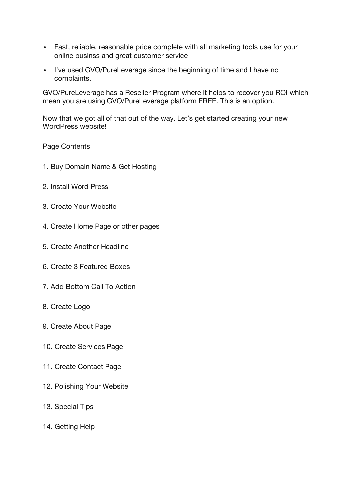- Fast, reliable, reasonable price complete with all marketing tools use for your online businss and great customer service
- I've used GVO/PureLeverage since the beginning of time and I have no complaints.

GVO/PureLeverage has a Reseller Program where it helps to recover you ROI which mean you are using GVO/PureLeverage platform FREE. This is an option.

Now that we got all of that out of the way. Let's get started creating your new WordPress website!

Page Contents

- 1. Buy Domain Name & Get Hosting
- 2. Install Word Press
- 3. Create Your Website
- 4. Create Home Page or other pages
- 5. Create Another Headline
- 6. Create 3 Featured Boxes
- 7. Add Bottom Call To Action
- 8. Create Logo
- 9. Create About Page
- 10. Create Services Page
- 11. Create Contact Page
- 12. Polishing Your Website
- 13. Special Tips
- 14. Getting Help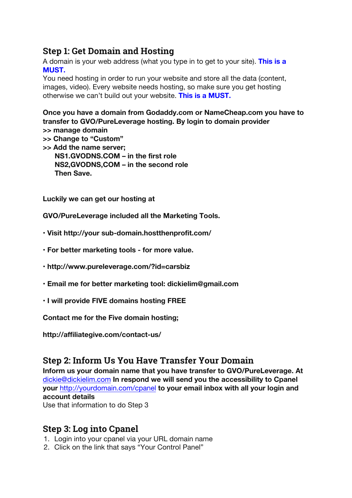### **Step 1: Get Domain and Hosting**

A domain is your web address (what you type in to get to your site). **This is a MUST.**

You need hosting in order to run your website and store all the data (content, images, video). Every website needs hosting, so make sure you get hosting otherwise we can't build out your website. **This is a MUST.**

**Once you have a domain from Godaddy.com or NameCheap.com you have to transfer to GVO/PureLeverage hosting. By login to domain provider** 

- **>> manage domain**
- **>> Change to "Custom" >> Add the name server; NS1.GVODNS.COM – in the first role NS2,GVODNS,COM – in the second role Then Save.**

**Luckily we can get our hosting at**

**GVO/PureLeverage included all the Marketing Tools.**

- **• Visit http://your sub-domain.hostthenprofit.com/**
- **• For better marketing tools - for more value.**
- **• http://www.pureleverage.com/?id=carsbiz**
- **• Email me for better marketing tool: dickielim@gmail.com**
- **• I will provide FIVE domains hosting FREE**

**Contact me for the Five domain hosting;**

**http://affiliategive.com/contact-us/**

#### **Step 2: Inform Us You Have Transfer Your Domain**

**Inform us your domain name that you have transfer to GVO/PureLeverage. At**  dickie@dickielim.com **In respond we will send you the accessibility to Cpanel your** http://yourdomain.com/cpanel **to your email inbox with all your login and account details**

Use that information to do Step 3

#### **Step 3: Log into Cpanel**

- 1. Login into your cpanel via your URL domain name
- 2. Click on the link that says "Your Control Panel"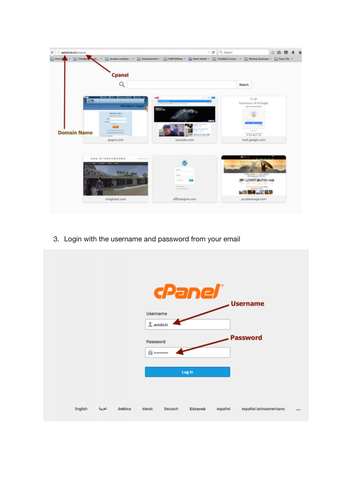

3. Login with the username and password from your email

|         |         |         | Username<br>askdicki<br>Password<br>$f$ |         | cPanel®<br>Log in |         | <b>Username</b><br><b>Password</b> |  |
|---------|---------|---------|-----------------------------------------|---------|-------------------|---------|------------------------------------|--|
| English | العربية | čeština | dansk                                   | Deutsch | Ελληνικά          | español | español latinoamericano            |  |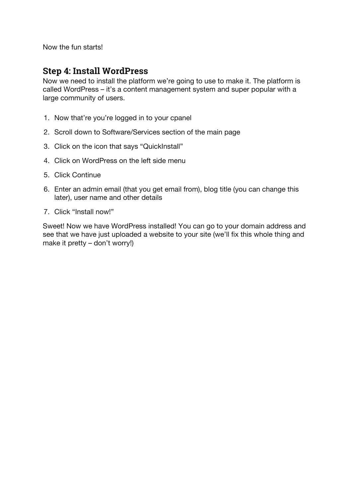Now the fun starts!

## **Step 4: Install WordPress**

Now we need to install the platform we're going to use to make it. The platform is called WordPress – it's a content management system and super popular with a large community of users.

- 1. Now that're you're logged in to your cpanel
- 2. Scroll down to Software/Services section of the main page
- 3. Click on the icon that says "QuickInstall"
- 4. Click on WordPress on the left side menu
- 5. Click Continue
- 6. Enter an admin email (that you get email from), blog title (you can change this later), user name and other details
- 7. Click "Install now!"

Sweet! Now we have WordPress installed! You can go to your domain address and see that we have just uploaded a website to your site (we'll fix this whole thing and make it pretty – don't worry!)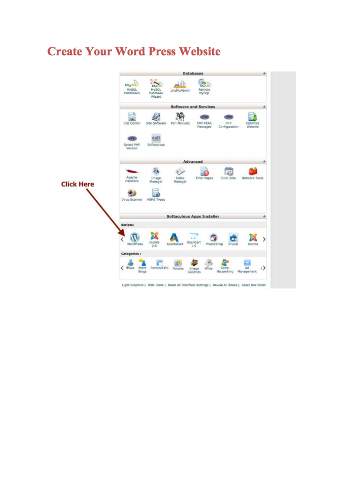## **Create Your Word Press Website**

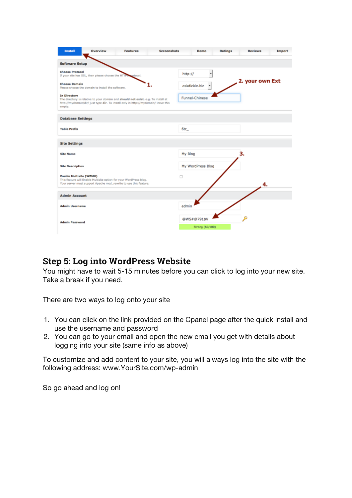| <b>Install</b><br>Overview<br><b>Screenshots</b><br><b>Features</b>                                                                                                                               | Ratings<br><b>Import</b><br>Demo<br><b>Reviews</b> |
|---------------------------------------------------------------------------------------------------------------------------------------------------------------------------------------------------|----------------------------------------------------|
| <b>Software Setup</b>                                                                                                                                                                             |                                                    |
| <b>Choose Protocol</b><br>If your site has SSL, then please choose the HTTP.<br>gotocal.                                                                                                          | http://<br>$\left  \cdot \right $                  |
| <b>Choose Domain</b><br>Please choose the domain to install the software.                                                                                                                         | 2. your own Ext<br>askdickie, biz<br>٠             |
| In Directory<br>The directory is relative to your domain and should not exist. e.g. To install at<br>http://mydomain/dir/ just type dir. To install only in http://mydomain/ leave this<br>empty. | Funnel-Chinese                                     |
| <b>Database Settings</b>                                                                                                                                                                          |                                                    |
| <b>Table Prefix</b>                                                                                                                                                                               | $6tr_{-}$                                          |
| <b>Site Settings</b>                                                                                                                                                                              |                                                    |
| <b>Site Name</b>                                                                                                                                                                                  | 3.<br>My Blog                                      |
| <b>Site Description</b>                                                                                                                                                                           | My WordPress Blog                                  |
| <b>Enable Multisite (WPMU)</b><br>This feature will Enable Multisite option for your WordPress blog.<br>Your server must support Apache mod_rewrite to use this feature.                          | o<br>4.                                            |
| <b>Admin Account</b>                                                                                                                                                                              |                                                    |
| <b>Admin Username</b>                                                                                                                                                                             | admin                                              |
| <b>Admin Password</b>                                                                                                                                                                             | @W5#@791\$V<br>Strong (60/100)                     |

#### **Step 5: Log into WordPress Website**

You might have to wait 5-15 minutes before you can click to log into your new site. Take a break if you need.

There are two ways to log onto your site

- 1. You can click on the link provided on the Cpanel page after the quick install and use the username and password
- 2. You can go to your email and open the new email you get with details about logging into your site (same info as above)

To customize and add content to your site, you will always log into the site with the following address: www.YourSite.com/wp-admin

So go ahead and log on!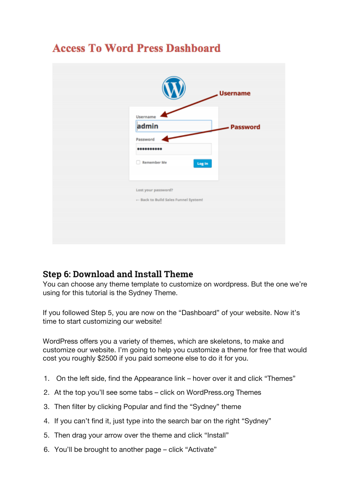|                                      | <b>Username</b> |
|--------------------------------------|-----------------|
| Username                             |                 |
| admin                                | <b>Password</b> |
| Password<br>                         |                 |
| <b>Remember Me</b>                   |                 |
| Log In                               |                 |
|                                      |                 |
| Lost your password?                  |                 |
| + Back to Build Sales Funnel System! |                 |
|                                      |                 |
|                                      |                 |
|                                      |                 |

## **Access To Word Press Dashboard**

## **Step 6: Download and Install Theme**

You can choose any theme template to customize on wordpress. But the one we're using for this tutorial is the Sydney Theme.

If you followed Step 5, you are now on the "Dashboard" of your website. Now it's time to start customizing our website!

WordPress offers you a variety of themes, which are skeletons, to make and customize our website. I'm going to help you customize a theme for free that would cost you roughly \$2500 if you paid someone else to do it for you.

- 1. On the left side, find the Appearance link hover over it and click "Themes"
- 2. At the top you'll see some tabs click on WordPress.org Themes
- 3. Then filter by clicking Popular and find the "Sydney" theme
- 4. If you can't find it, just type into the search bar on the right "Sydney"
- 5. Then drag your arrow over the theme and click "Install"
- 6. You'll be brought to another page click "Activate"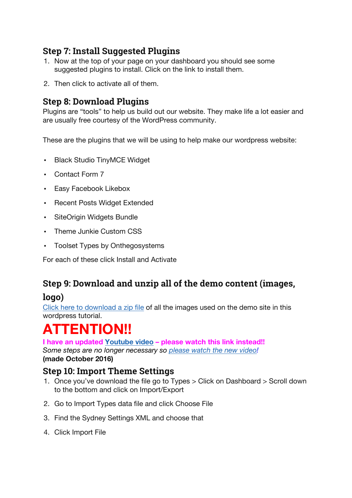## **Step 7: Install Suggested Plugins**

- 1. Now at the top of your page on your dashboard you should see some suggested plugins to install. Click on the link to install them.
- 2. Then click to activate all of them.

## **Step 8: Download Plugins**

Plugins are "tools" to help us build out our website. They make life a lot easier and are usually free courtesy of the WordPress community.

These are the plugins that we will be using to help make our wordpress website:

- Black Studio TinyMCE Widget
- Contact Form 7
- Easy Facebook Likebox
- Recent Posts Widget Extended
- SiteOrigin Widgets Bundle
- Theme Junkie Custom CSS
- Toolset Types by Onthegosystems

For each of these click Install and Activate

## **Step 9: Download and unzip all of the demo content (images,**

## **logo)**

Click here to download a zip file of all the images used on the demo site in this wordpress tutorial.

# **ATTENTION!!**

**I have an updated Youtube video – please watch this link instead!!**

*Some steps are no longer necessary so please watch the new video!* **(made October 2016)**

## **Step 10: Import Theme Settings**

- 1. Once you've download the file go to Types > Click on Dashboard > Scroll down to the bottom and click on Import/Export
- 2. Go to Import Types data file and click Choose File
- 3. Find the Sydney Settings XML and choose that
- 4. Click Import File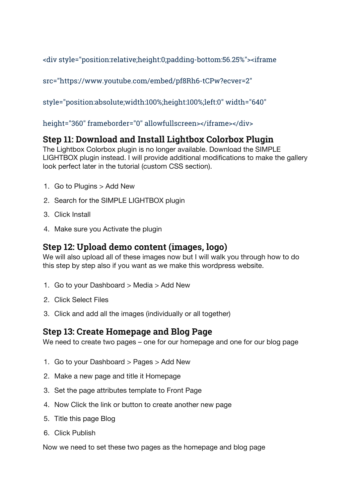<div style="position:relative;height:0;padding-bottom:56.25%"><iframe

src="https://www.youtube.com/embed/pf8Rh6-tCPw?ecver=2"

style="position:absolute;width:100%;height:100%;left:0" width="640"

height="360" frameborder="0" allowfullscreen></iframe></div>

## **Step 11: Download and Install Lightbox Colorbox Plugin**

The Lightbox Colorbox plugin is no longer available. Download the SIMPLE LIGHTBOX plugin instead. I will provide additional modifications to make the gallery look perfect later in the tutorial (custom CSS section).

- 1. Go to Plugins > Add New
- 2. Search for the SIMPLE LIGHTBOX plugin
- 3. Click Install
- 4. Make sure you Activate the plugin

## **Step 12: Upload demo content (images, logo)**

We will also upload all of these images now but I will walk you through how to do this step by step also if you want as we make this wordpress website.

- 1. Go to your Dashboard > Media > Add New
- 2. Click Select Files
- 3. Click and add all the images (individually or all together)

#### **Step 13: Create Homepage and Blog Page**

We need to create two pages – one for our homepage and one for our blog page

- 1. Go to your Dashboard > Pages > Add New
- 2. Make a new page and title it Homepage
- 3. Set the page attributes template to Front Page
- 4. Now Click the link or button to create another new page
- 5. Title this page Blog
- 6. Click Publish

Now we need to set these two pages as the homepage and blog page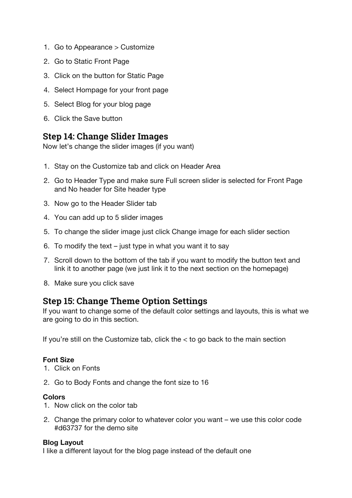- 1. Go to Appearance > Customize
- 2. Go to Static Front Page
- 3. Click on the button for Static Page
- 4. Select Hompage for your front page
- 5. Select Blog for your blog page
- 6. Click the Save button

## **Step 14: Change Slider Images**

Now let's change the slider images (if you want)

- 1. Stay on the Customize tab and click on Header Area
- 2. Go to Header Type and make sure Full screen slider is selected for Front Page and No header for Site header type
- 3. Now go to the Header Slider tab
- 4. You can add up to 5 slider images
- 5. To change the slider image just click Change image for each slider section
- 6. To modify the text just type in what you want it to say
- 7. Scroll down to the bottom of the tab if you want to modify the button text and link it to another page (we just link it to the next section on the homepage)
- 8. Make sure you click save

## **Step 15: Change Theme Option Settings**

If you want to change some of the default color settings and layouts, this is what we are going to do in this section.

If you're still on the Customize tab, click the  $<$  to go back to the main section

#### **Font Size**

- 1. Click on Fonts
- 2. Go to Body Fonts and change the font size to 16

#### **Colors**

- 1. Now click on the color tab
- 2. Change the primary color to whatever color you want we use this color code #d63737 for the demo site

#### **Blog Layout**

I like a different layout for the blog page instead of the default one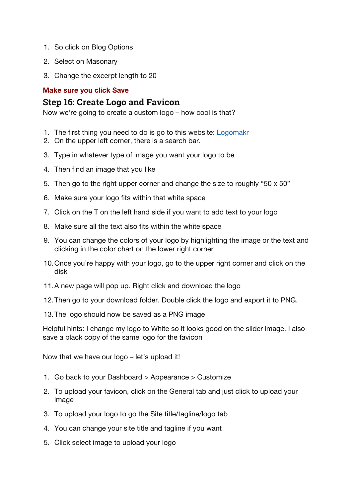- 1. So click on Blog Options
- 2. Select on Masonary
- 3. Change the excerpt length to 20

#### **Make sure you click Save**

#### **Step 16: Create Logo and Favicon**

Now we're going to create a custom logo – how cool is that?

- 1. The first thing you need to do is go to this website: Logomakr
- 2. On the upper left corner, there is a search bar.
- 3. Type in whatever type of image you want your logo to be
- 4. Then find an image that you like
- 5. Then go to the right upper corner and change the size to roughly "50 x 50"
- 6. Make sure your logo fits within that white space
- 7. Click on the T on the left hand side if you want to add text to your logo
- 8. Make sure all the text also fits within the white space
- 9. You can change the colors of your logo by highlighting the image or the text and clicking in the color chart on the lower right corner
- 10.Once you're happy with your logo, go to the upper right corner and click on the disk
- 11.A new page will pop up. Right click and download the logo
- 12.Then go to your download folder. Double click the logo and export it to PNG.
- 13.The logo should now be saved as a PNG image

Helpful hints: I change my logo to White so it looks good on the slider image. I also save a black copy of the same logo for the favicon

Now that we have our logo – let's upload it!

- 1. Go back to your Dashboard > Appearance > Customize
- 2. To upload your favicon, click on the General tab and just click to upload your image
- 3. To upload your logo to go the Site title/tagline/logo tab
- 4. You can change your site title and tagline if you want
- 5. Click select image to upload your logo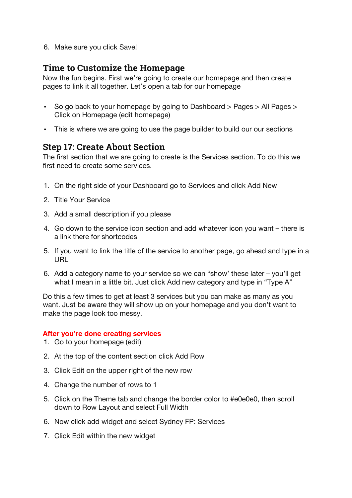6. Make sure you click Save!

#### **Time to Customize the Homepage**

Now the fun begins. First we're going to create our homepage and then create pages to link it all together. Let's open a tab for our homepage

- So go back to your homepage by going to Dashboard > Pages > All Pages > Click on Homepage (edit homepage)
- This is where we are going to use the page builder to build our our sections

#### **Step 17: Create About Section**

The first section that we are going to create is the Services section. To do this we first need to create some services.

- 1. On the right side of your Dashboard go to Services and click Add New
- 2. Title Your Service
- 3. Add a small description if you please
- 4. Go down to the service icon section and add whatever icon you want there is a link there for shortcodes
- 5. If you want to link the title of the service to another page, go ahead and type in a URL
- 6. Add a category name to your service so we can "show' these later you'll get what I mean in a little bit. Just click Add new category and type in "Type A"

Do this a few times to get at least 3 services but you can make as many as you want. Just be aware they will show up on your homepage and you don't want to make the page look too messy.

#### **After you're done creating services**

- 1. Go to your homepage (edit)
- 2. At the top of the content section click Add Row
- 3. Click Edit on the upper right of the new row
- 4. Change the number of rows to 1
- 5. Click on the Theme tab and change the border color to #e0e0e0, then scroll down to Row Layout and select Full Width
- 6. Now click add widget and select Sydney FP: Services
- 7. Click Edit within the new widget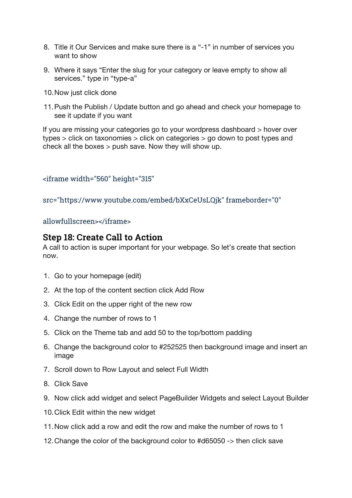- 8. Title it Our Services and make sure there is a "-1" in number of services you want to show
- 9. Where it says "Enter the slug for your category or leave empty to show all services." type in "type-a"
- 10.Now just click done
- 11.Push the Publish / Update button and go ahead and check your homepage to see it update if you want

If you are missing your categories go to your wordpress dashboard > hover over types > click on taxonomies > click on categories > go down to post types and check all the boxes > push save. Now they will show up.

<iframe width="560" height="315"

src="https://www.youtube.com/embed/bXxCeUsLQjk" frameborder="0"

allowfullscreen></iframe>

#### **Step 18: Create Call to Action**

A call to action is super important for your webpage. So let's create that section now.

- 1. Go to your homepage (edit)
- 2. At the top of the content section click Add Row
- 3. Click Edit on the upper right of the new row
- 4. Change the number of rows to 1
- 5. Click on the Theme tab and add 50 to the top/bottom padding
- 6. Change the background color to #252525 then background image and insert an image
- 7. Scroll down to Row Layout and select Full Width
- 8. Click Save
- 9. Now click add widget and select PageBuilder Widgets and select Layout Builder
- 10.Click Edit within the new widget
- 11.Now click add a row and edit the row and make the number of rows to 1
- 12.Change the color of the background color to #d65050 -> then click save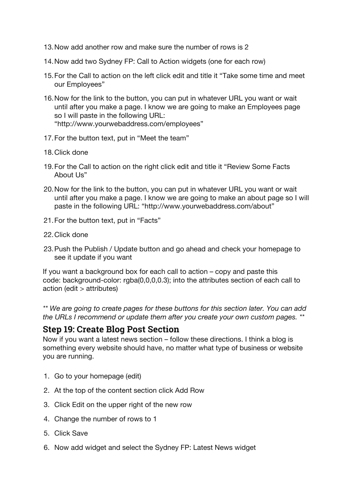- 13.Now add another row and make sure the number of rows is 2
- 14.Now add two Sydney FP: Call to Action widgets (one for each row)
- 15.For the Call to action on the left click edit and title it "Take some time and meet our Employees"
- 16.Now for the link to the button, you can put in whatever URL you want or wait until after you make a page. I know we are going to make an Employees page so I will paste in the following URL: "http://www.yourwebaddress.com/employees"
- 17.For the button text, put in "Meet the team"
- 18.Click done
- 19.For the Call to action on the right click edit and title it "Review Some Facts About I Is"
- 20.Now for the link to the button, you can put in whatever URL you want or wait until after you make a page. I know we are going to make an about page so I will paste in the following URL: "http://www.yourwebaddress.com/about"
- 21.For the button text, put in "Facts"
- 22.Click done
- 23.Push the Publish / Update button and go ahead and check your homepage to see it update if you want

If you want a background box for each call to action – copy and paste this code: background-color: rgba(0,0,0,0.3); into the attributes section of each call to action (edit > attributes)

*\*\* We are going to create pages for these buttons for this section later. You can add the URLs I recommend or update them after you create your own custom pages. \*\**

#### **Step 19: Create Blog Post Section**

Now if you want a latest news section – follow these directions. I think a blog is something every website should have, no matter what type of business or website you are running.

- 1. Go to your homepage (edit)
- 2. At the top of the content section click Add Row
- 3. Click Edit on the upper right of the new row
- 4. Change the number of rows to 1
- 5. Click Save
- 6. Now add widget and select the Sydney FP: Latest News widget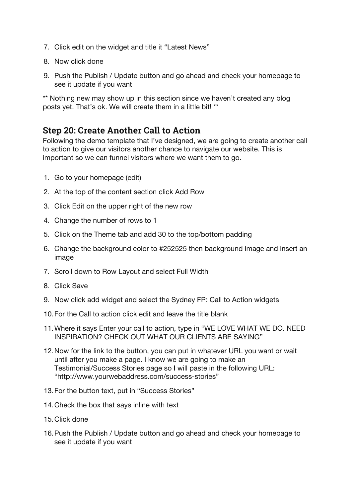- 7. Click edit on the widget and title it "Latest News"
- 8. Now click done
- 9. Push the Publish / Update button and go ahead and check your homepage to see it update if you want

\*\* Nothing new may show up in this section since we haven't created any blog posts yet. That's ok. We will create them in a little bit! \*\*

## **Step 20: Create Another Call to Action**

Following the demo template that I've designed, we are going to create another call to action to give our visitors another chance to navigate our website. This is important so we can funnel visitors where we want them to go.

- 1. Go to your homepage (edit)
- 2. At the top of the content section click Add Row
- 3. Click Edit on the upper right of the new row
- 4. Change the number of rows to 1
- 5. Click on the Theme tab and add 30 to the top/bottom padding
- 6. Change the background color to #252525 then background image and insert an image
- 7. Scroll down to Row Layout and select Full Width
- 8. Click Save
- 9. Now click add widget and select the Sydney FP: Call to Action widgets
- 10.For the Call to action click edit and leave the title blank
- 11.Where it says Enter your call to action, type in "WE LOVE WHAT WE DO. NEED INSPIRATION? CHECK OUT WHAT OUR CLIENTS ARE SAYING"
- 12.Now for the link to the button, you can put in whatever URL you want or wait until after you make a page. I know we are going to make an Testimonial/Success Stories page so I will paste in the following URL: "http://www.yourwebaddress.com/success-stories"
- 13.For the button text, put in "Success Stories"
- 14.Check the box that says inline with text
- 15.Click done
- 16.Push the Publish / Update button and go ahead and check your homepage to see it update if you want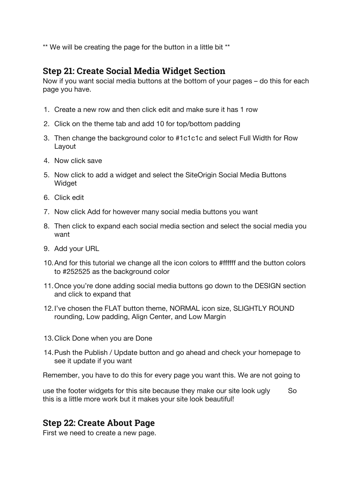\*\* We will be creating the page for the button in a little bit \*\*

## **Step 21: Create Social Media Widget Section**

Now if you want social media buttons at the bottom of your pages – do this for each page you have.

- 1. Create a new row and then click edit and make sure it has 1 row
- 2. Click on the theme tab and add 10 for top/bottom padding
- 3. Then change the background color to #1c1c1c and select Full Width for Row Layout
- 4. Now click save
- 5. Now click to add a widget and select the SiteOrigin Social Media Buttons **Widget**
- 6. Click edit
- 7. Now click Add for however many social media buttons you want
- 8. Then click to expand each social media section and select the social media you want
- 9. Add your URL
- 10.And for this tutorial we change all the icon colors to #ffffff and the button colors to #252525 as the background color
- 11.Once you're done adding social media buttons go down to the DESIGN section and click to expand that
- 12.I've chosen the FLAT button theme, NORMAL icon size, SLIGHTLY ROUND rounding, Low padding, Align Center, and Low Margin
- 13.Click Done when you are Done
- 14.Push the Publish / Update button and go ahead and check your homepage to see it update if you want

Remember, you have to do this for every page you want this. We are not going to

use the footer widgets for this site because they make our site look ugly So this is a little more work but it makes your site look beautiful!

## **Step 22: Create About Page**

First we need to create a new page.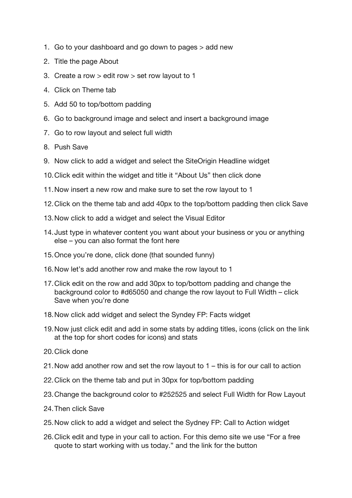- 1. Go to your dashboard and go down to pages > add new
- 2. Title the page About
- 3. Create a row > edit row > set row layout to 1
- 4. Click on Theme tab
- 5. Add 50 to top/bottom padding
- 6. Go to background image and select and insert a background image
- 7. Go to row layout and select full width
- 8. Push Save
- 9. Now click to add a widget and select the SiteOrigin Headline widget
- 10.Click edit within the widget and title it "About Us" then click done
- 11.Now insert a new row and make sure to set the row layout to 1
- 12.Click on the theme tab and add 40px to the top/bottom padding then click Save
- 13.Now click to add a widget and select the Visual Editor
- 14.Just type in whatever content you want about your business or you or anything else – you can also format the font here
- 15.Once you're done, click done (that sounded funny)
- 16.Now let's add another row and make the row layout to 1
- 17.Click edit on the row and add 30px to top/bottom padding and change the background color to #d65050 and change the row layout to Full Width – click Save when you're done
- 18.Now click add widget and select the Syndey FP: Facts widget
- 19.Now just click edit and add in some stats by adding titles, icons (click on the link at the top for short codes for icons) and stats
- 20.Click done
- 21.Now add another row and set the row layout to 1 this is for our call to action
- 22.Click on the theme tab and put in 30px for top/bottom padding
- 23.Change the background color to #252525 and select Full Width for Row Layout
- 24.Then click Save
- 25.Now click to add a widget and select the Sydney FP: Call to Action widget
- 26.Click edit and type in your call to action. For this demo site we use "For a free quote to start working with us today." and the link for the button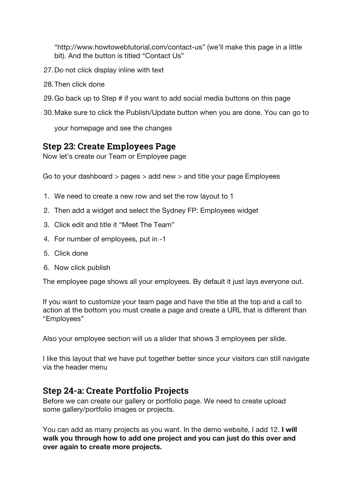"http://www.howtowebtutorial.com/contact-us" (we'll make this page in a little bit). And the button is titled "Contact Us"

- 27.Do not click display inline with text
- 28.Then click done
- 29.Go back up to Step # if you want to add social media buttons on this page
- 30.Make sure to click the Publish/Update button when you are done. You can go to

your homepage and see the changes

#### **Step 23: Create Employees Page**

Now let's create our Team or Employee page

Go to your dashboard > pages > add new > and title your page Employees

- 1. We need to create a new row and set the row layout to 1
- 2. Then add a widget and select the Sydney FP: Employees widget
- 3. Click edit and title it "Meet The Team"
- 4. For number of employees, put in -1
- 5. Click done
- 6. Now click publish

The employee page shows all your employees. By default it just lays everyone out.

If you want to customize your team page and have the title at the top and a call to action at the bottom you must create a page and create a URL that is different than "Employees"

Also your employee section will us a slider that shows 3 employees per slide.

I like this layout that we have put together better since your visitors can still navigate via the header menu

#### **Step 24-a: Create Portfolio Projects**

Before we can create our gallery or portfolio page. We need to create upload some gallery/portfolio images or projects.

You can add as many projects as you want. In the demo website, I add 12. **I will walk you through how to add one project and you can just do this over and over again to create more projects.**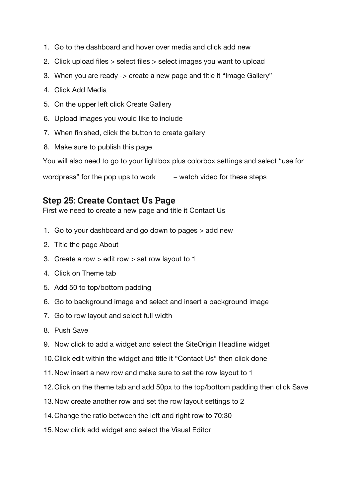- 1. Go to the dashboard and hover over media and click add new
- 2. Click upload files > select files > select images you want to upload
- 3. When you are ready -> create a new page and title it "Image Gallery"
- 4. Click Add Media
- 5. On the upper left click Create Gallery
- 6. Upload images you would like to include
- 7. When finished, click the button to create gallery
- 8. Make sure to publish this page

You will also need to go to your lightbox plus colorbox settings and select "use for

wordpress" for the pop ups to work  $-$  watch video for these steps

#### **Step 25: Create Contact Us Page**

First we need to create a new page and title it Contact Us

- 1. Go to your dashboard and go down to pages > add new
- 2. Title the page About
- 3. Create a row > edit row > set row layout to 1
- 4. Click on Theme tab
- 5. Add 50 to top/bottom padding
- 6. Go to background image and select and insert a background image
- 7. Go to row layout and select full width
- 8. Push Save
- 9. Now click to add a widget and select the SiteOrigin Headline widget
- 10.Click edit within the widget and title it "Contact Us" then click done
- 11.Now insert a new row and make sure to set the row layout to 1
- 12.Click on the theme tab and add 50px to the top/bottom padding then click Save
- 13.Now create another row and set the row layout settings to 2
- 14.Change the ratio between the left and right row to 70:30
- 15.Now click add widget and select the Visual Editor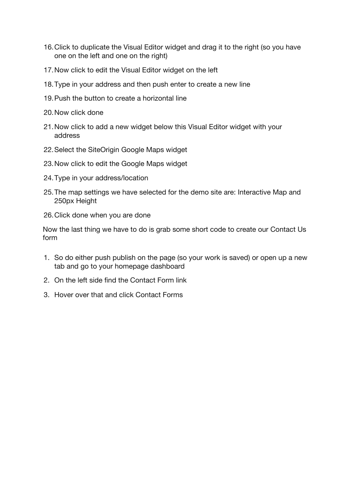- 16.Click to duplicate the Visual Editor widget and drag it to the right (so you have one on the left and one on the right)
- 17.Now click to edit the Visual Editor widget on the left
- 18.Type in your address and then push enter to create a new line
- 19.Push the button to create a horizontal line
- 20.Now click done
- 21.Now click to add a new widget below this Visual Editor widget with your address
- 22.Select the SiteOrigin Google Maps widget
- 23.Now click to edit the Google Maps widget
- 24.Type in your address/location
- 25.The map settings we have selected for the demo site are: Interactive Map and 250px Height
- 26.Click done when you are done

Now the last thing we have to do is grab some short code to create our Contact Us form

- 1. So do either push publish on the page (so your work is saved) or open up a new tab and go to your homepage dashboard
- 2. On the left side find the Contact Form link
- 3. Hover over that and click Contact Forms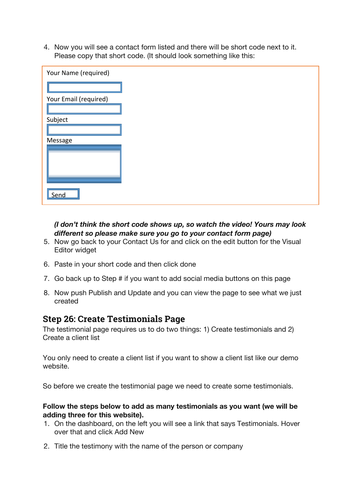4. Now you will see a contact form listed and there will be short code next to it. Please copy that short code. (It should look something like this:

| Your Name (required)  |  |
|-----------------------|--|
|                       |  |
| Your Email (required) |  |
|                       |  |
| Subject               |  |
|                       |  |
| Message               |  |
|                       |  |
|                       |  |
|                       |  |
|                       |  |
|                       |  |
| Send                  |  |

#### *(I don't think the short code shows up, so watch the video! Yours may look different so please make sure you go to your contact form page)*

- 5. Now go back to your Contact Us for and click on the edit button for the Visual Editor widget
- 6. Paste in your short code and then click done
- 7. Go back up to Step # if you want to add social media buttons on this page
- 8. Now push Publish and Update and you can view the page to see what we just created

#### **Step 26: Create Testimonials Page**

The testimonial page requires us to do two things: 1) Create testimonials and 2) Create a client list

You only need to create a client list if you want to show a client list like our demo website.

So before we create the testimonial page we need to create some testimonials.

#### **Follow the steps below to add as many testimonials as you want (we will be adding three for this website).**

- 1. On the dashboard, on the left you will see a link that says Testimonials. Hover over that and click Add New
- 2. Title the testimony with the name of the person or company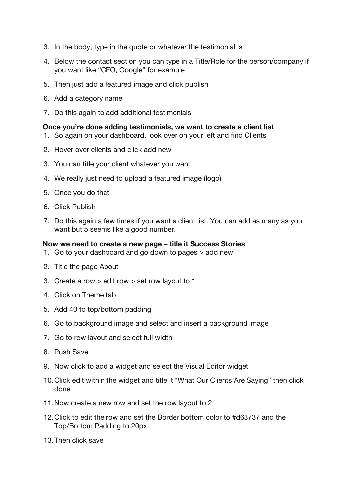- 3. In the body, type in the quote or whatever the testimonial is
- 4. Below the contact section you can type in a Title/Role for the person/company if you want like "CFO, Google" for example
- 5. Then just add a featured image and click publish
- 6. Add a category name
- 7. Do this again to add additional testimonials

#### **Once you're done adding testimonials, we want to create a client list**

- 1. So again on your dashboard, look over on your left and find Clients
- 2. Hover over clients and click add new
- 3. You can title your client whatever you want
- 4. We really just need to upload a featured image (logo)
- 5. Once you do that
- 6. Click Publish
- 7. Do this again a few times if you want a client list. You can add as many as you want but 5 seems like a good number.

#### **Now we need to create a new page – title it Success Stories**

- 1. Go to your dashboard and go down to pages > add new
- 2. Title the page About
- 3. Create a row > edit row > set row layout to 1
- 4. Click on Theme tab
- 5. Add 40 to top/bottom padding
- 6. Go to background image and select and insert a background image
- 7. Go to row layout and select full width
- 8. Push Save
- 9. Now click to add a widget and select the Visual Editor widget
- 10.Click edit within the widget and title it "What Our Clients Are Saying" then click done
- 11.Now create a new row and set the row layout to 2
- 12.Click to edit the row and set the Border bottom color to #d63737 and the Top/Bottom Padding to 20px
- 13.Then click save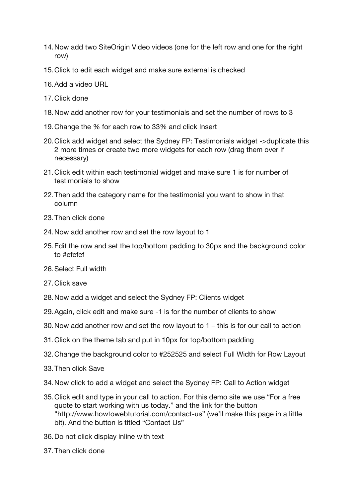- 14.Now add two SiteOrigin Video videos (one for the left row and one for the right row)
- 15.Click to edit each widget and make sure external is checked
- 16.Add a video URL
- 17.Click done
- 18.Now add another row for your testimonials and set the number of rows to 3
- 19.Change the % for each row to 33% and click Insert
- 20.Click add widget and select the Sydney FP: Testimonials widget ->duplicate this 2 more times or create two more widgets for each row (drag them over if necessary)
- 21.Click edit within each testimonial widget and make sure 1 is for number of testimonials to show
- 22.Then add the category name for the testimonial you want to show in that column
- 23.Then click done
- 24.Now add another row and set the row layout to 1
- 25.Edit the row and set the top/bottom padding to 30px and the background color to #efefef
- 26.Select Full width
- 27.Click save
- 28.Now add a widget and select the Sydney FP: Clients widget
- 29.Again, click edit and make sure -1 is for the number of clients to show
- 30.Now add another row and set the row layout to 1 this is for our call to action
- 31.Click on the theme tab and put in 10px for top/bottom padding
- 32.Change the background color to #252525 and select Full Width for Row Layout
- 33.Then click Save
- 34.Now click to add a widget and select the Sydney FP: Call to Action widget
- 35.Click edit and type in your call to action. For this demo site we use "For a free quote to start working with us today." and the link for the button "http://www.howtowebtutorial.com/contact-us" (we'll make this page in a little bit). And the button is titled "Contact Us"
- 36.Do not click display inline with text
- 37.Then click done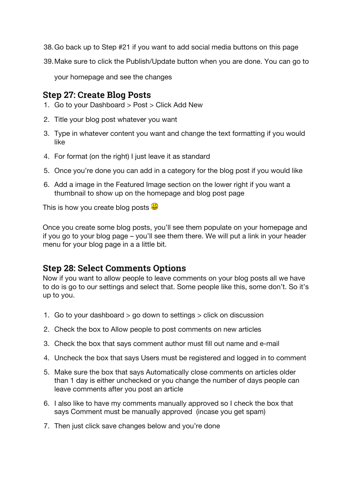- 38.Go back up to Step #21 if you want to add social media buttons on this page
- 39.Make sure to click the Publish/Update button when you are done. You can go to

your homepage and see the changes

#### **Step 27: Create Blog Posts**

- 1. Go to your Dashboard > Post > Click Add New
- 2. Title your blog post whatever you want
- 3. Type in whatever content you want and change the text formatting if you would like
- 4. For format (on the right) I just leave it as standard
- 5. Once you're done you can add in a category for the blog post if you would like
- 6. Add a image in the Featured Image section on the lower right if you want a thumbnail to show up on the homepage and blog post page

This is how you create blog posts  $\ddot{\mathbf{\Theta}}$ 

Once you create some blog posts, you'll see them populate on your homepage and if you go to your blog page – you'll see them there. We will put a link in your header menu for your blog page in a a little bit.

#### **Step 28: Select Comments Options**

Now if you want to allow people to leave comments on your blog posts all we have to do is go to our settings and select that. Some people like this, some don't. So it's up to you.

- 1. Go to your dashboard > go down to settings > click on discussion
- 2. Check the box to Allow people to post comments on new articles
- 3. Check the box that says comment author must fill out name and e-mail
- 4. Uncheck the box that says Users must be registered and logged in to comment
- 5. Make sure the box that says Automatically close comments on articles older than 1 day is either unchecked or you change the number of days people can leave comments after you post an article
- 6. I also like to have my comments manually approved so I check the box that says Comment must be manually approved (incase you get spam)
- 7. Then just click save changes below and you're done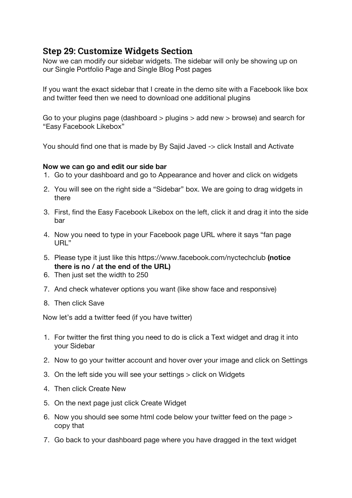### **Step 29: Customize Widgets Section**

Now we can modify our sidebar widgets. The sidebar will only be showing up on our Single Portfolio Page and Single Blog Post pages

If you want the exact sidebar that I create in the demo site with a Facebook like box and twitter feed then we need to download one additional plugins

Go to your plugins page (dashboard > plugins > add new > browse) and search for "Easy Facebook Likebox"

You should find one that is made by By Sajid Javed -> click Install and Activate

#### **Now we can go and edit our side bar**

- 1. Go to your dashboard and go to Appearance and hover and click on widgets
- 2. You will see on the right side a "Sidebar" box. We are going to drag widgets in there
- 3. First, find the Easy Facebook Likebox on the left, click it and drag it into the side bar
- 4. Now you need to type in your Facebook page URL where it says "fan page URL"
- 5. Please type it just like this https://www.facebook.com/nyctechclub **(notice there is no / at the end of the URL)**
- 6. Then just set the width to 250
- 7. And check whatever options you want (like show face and responsive)
- 8. Then click Save

Now let's add a twitter feed (if you have twitter)

- 1. For twitter the first thing you need to do is click a Text widget and drag it into your Sidebar
- 2. Now to go your twitter account and hover over your image and click on Settings
- 3. On the left side you will see your settings > click on Widgets
- 4. Then click Create New
- 5. On the next page just click Create Widget
- 6. Now you should see some html code below your twitter feed on the page > copy that
- 7. Go back to your dashboard page where you have dragged in the text widget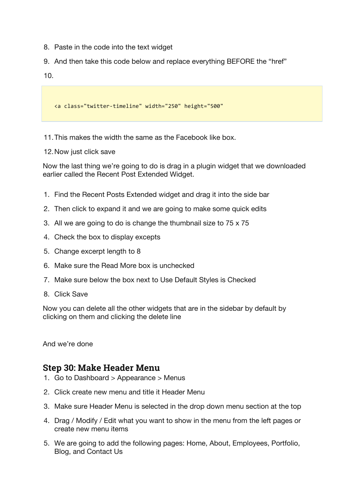- 8. Paste in the code into the text widget
- 9. And then take this code below and replace everything BEFORE the "href"
- 10.

<a class="twitter-timeline" width="250" height="500"

11.This makes the width the same as the Facebook like box.

12.Now just click save

Now the last thing we're going to do is drag in a plugin widget that we downloaded earlier called the Recent Post Extended Widget.

- 1. Find the Recent Posts Extended widget and drag it into the side bar
- 2. Then click to expand it and we are going to make some quick edits
- 3. All we are going to do is change the thumbnail size to 75 x 75
- 4. Check the box to display excepts
- 5. Change excerpt length to 8
- 6. Make sure the Read More box is unchecked
- 7. Make sure below the box next to Use Default Styles is Checked
- 8. Click Save

Now you can delete all the other widgets that are in the sidebar by default by clicking on them and clicking the delete line

And we're done

#### **Step 30: Make Header Menu**

- 1. Go to Dashboard > Appearance > Menus
- 2. Click create new menu and title it Header Menu
- 3. Make sure Header Menu is selected in the drop down menu section at the top
- 4. Drag / Modify / Edit what you want to show in the menu from the left pages or create new menu items
- 5. We are going to add the following pages: Home, About, Employees, Portfolio, Blog, and Contact Us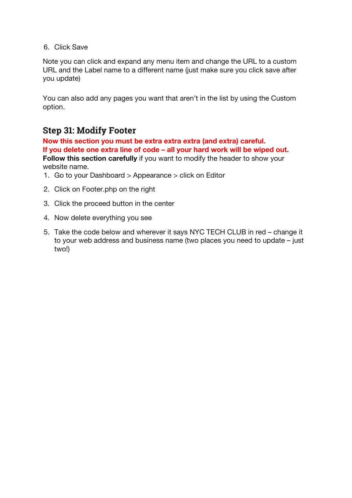#### 6. Click Save

Note you can click and expand any menu item and change the URL to a custom URL and the Label name to a different name (just make sure you click save after you update)

You can also add any pages you want that aren't in the list by using the Custom option.

#### **Step 31: Modify Footer**

**Now this section you must be extra extra extra (and extra) careful. If you delete one extra line of code – all your hard work will be wiped out. Follow this section carefully** if you want to modify the header to show your website name.

- 1. Go to your Dashboard > Appearance > click on Editor
- 2. Click on Footer.php on the right
- 3. Click the proceed button in the center
- 4. Now delete everything you see
- 5. Take the code below and wherever it says NYC TECH CLUB in red change it to your web address and business name (two places you need to update – just two!)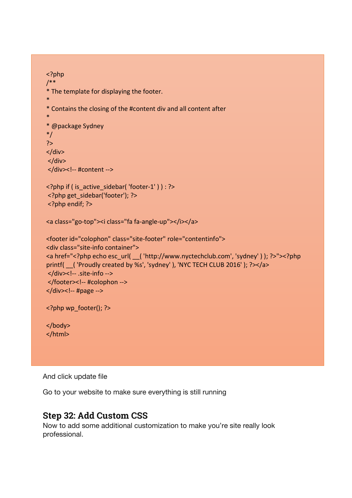```
<?php
/**
* The template for displaying the footer.
*
*	Contains	the	closing	of	the	#content	div	and	all	content	after
*
*	@package	Sydney
*/
?>
</div>
</div></div><!-- #content -->
<?php if ( is_active_sidebar( 'footer-1' ) ) : ?>
<?php get sidebar('footer'); ?>
<? php endif; ?>
<a class="go-top"><i class="fa fa-angle-up"></i></a>
<footer id="colophon" class="site-footer" role="contentinfo">
<div class="site-info container">
<a href="<?php echo esc_url( ( 'http://www.nyctechclub.com', 'sydney' ) ); ?>"><?php
printf( ( 'Proudly created by %s', 'sydney' ), 'NYC TECH CLUB 2016' ); ?></a>
</div><!-- .site-info -->
</footer><!-- #colophon	-->
</div> <!-- #page -->
<?php wp_footer(); ?>
</body>
</html>
```
And click update file

Go to your website to make sure everything is still running

#### **Step 32: Add Custom CSS**

Now to add some additional customization to make you're site really look professional.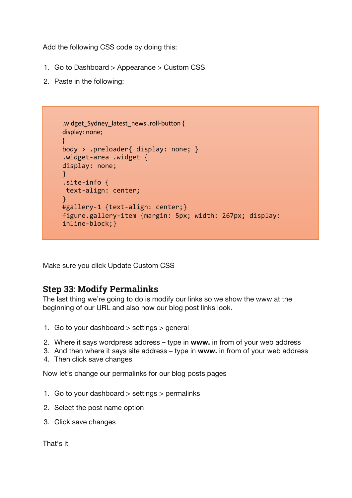Add the following CSS code by doing this:

- 1. Go to Dashboard > Appearance > Custom CSS
- 2. Paste in the following:

```
.widget Sydney latest news .roll-button {
display: none;
}
body > .preloader{ display: none; }
.widget-area .widget {
display: none;
}
.site-info {
text-align: center;
}
#gallery-1 {text-align: center;}
figure.gallery-item {margin: 5px; width: 267px; display: 
inline-block;}
```
Make sure you click Update Custom CSS

#### **Step 33: Modify Permalinks**

The last thing we're going to do is modify our links so we show the www at the beginning of our URL and also how our blog post links look.

- 1. Go to your dashboard > settings > general
- 2. Where it says wordpress address type in **www.** in from of your web address
- 3. And then where it says site address type in **www.** in from of your web address
- 4. Then click save changes

Now let's change our permalinks for our blog posts pages

- 1. Go to your dashboard  $>$  settings  $>$  permalinks
- 2. Select the post name option
- 3. Click save changes

That's it